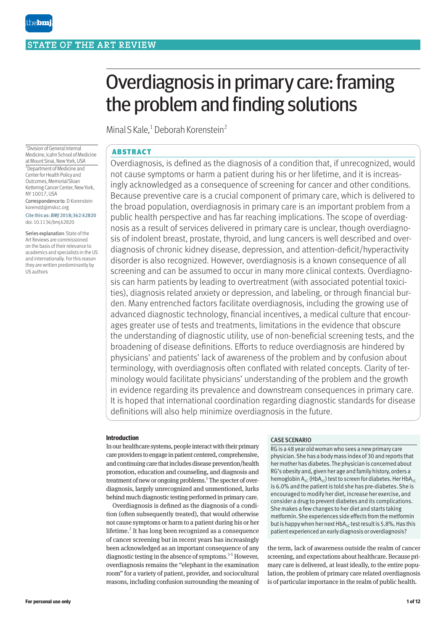the**bmi** 

# Overdiagnosis in primary care: framing the problem and finding solutions

Minal S Kale,<sup>1</sup> Deborah Korenstein<sup>2</sup>

1 Division of General Internal Medicine, Icahn School of Medicine at Mount Sinai, New York, USA 2 Department of Medicine and Center for Health Policy and Outcomes, Memorial Sloan Kettering Cancer Center, New York, NY 10017, USA Correspondence to: D Korenstein korenstd@mskcc.org Cite this as: *BMJ* 2018;362:k2820

doi: 10.1136/bmj.k2820

Series explanation: State of the Art Reviews are commissioned on the basis of their relevance to academics and specialists in the US and internationally. For this reason they are written predominantly by US authors

# ABSTRACT

Overdiagnosis, is defined as the diagnosis of a condition that, if unrecognized, would not cause symptoms or harm a patient during his or her lifetime, and it is increasingly acknowledged as a consequence of screening for cancer and other conditions. Because preventive care is a crucial component of primary care, which is delivered to the broad population, overdiagnosis in primary care is an important problem from a public health perspective and has far reaching implications. The scope of overdiagnosis as a result of services delivered in primary care is unclear, though overdiagnosis of indolent breast, prostate, thyroid, and lung cancers is well described and overdiagnosis of chronic kidney disease, depression, and attention-deficit/hyperactivity disorder is also recognized. However, overdiagnosis is a known consequence of all screening and can be assumed to occur in many more clinical contexts. Overdiagnosis can harm patients by leading to overtreatment (with associated potential toxicities), diagnosis related anxiety or depression, and labeling, or through financial burden. Many entrenched factors facilitate overdiagnosis, including the growing use of advanced diagnostic technology, financial incentives, a medical culture that encourages greater use of tests and treatments, limitations in the evidence that obscure the understanding of diagnostic utility, use of non-beneficial screening tests, and the broadening of disease definitions. Efforts to reduce overdiagnosis are hindered by physicians' and patients' lack of awareness of the problem and by confusion about terminology, with overdiagnosis often conflated with related concepts. Clarity of terminology would facilitate physicians' understanding of the problem and the growth in evidence regarding its prevalence and downstream consequences in primary care. It is hoped that international coordination regarding diagnostic standards for disease definitions will also help minimize overdiagnosis in the future.

#### **Introduction**

In our healthcare systems, people interact with their primary care providers to engage in patient centered, comprehensive, and continuing care that includes disease prevention/health promotion, education and counseling, and diagnosis and treatment of new or ongoing problems.<sup>1</sup> The specter of overdiagnosis, largely unrecognized and unmentioned, lurks behind much diagnostic testing performed in primary care.

Overdiagnosis is defined as the diagnosis of a condition (often subsequently treated), that would otherwise not cause symptoms or harm to a patient during his or her lifetime.<sup>2</sup> It has long been recognized as a consequence of cancer screening but in recent years has increasingly been acknowledged as an important consequence of any diagnostic testing in the absence of symptoms.<sup>3-5</sup> However, overdiagnosis remains the "elephant in the examination room" for a variety of patient, provider, and sociocultural reasons, including confusion surrounding the meaning of

#### CASE SCENARIO

RG is a 48 year old woman who sees a new primary care physician. She has a body mass index of 30 and reports that her mother has diabetes. The physician is concerned about RG's obesity and, given her age and family history, orders a hemoglobin  $A_{1C}$  (Hb $A_{1C}$ ) test to screen for diabetes. Her Hb $A_{1C}$ is 6.0% and the patient is told she has pre-diabetes. She is encouraged to modify her diet, increase her exercise, and consider a drug to prevent diabetes and its complications. She makes a few changes to her diet and starts taking metformin. She experiences side effects from the metformin but is happy when her next  $HbA_{1c}$  test result is 5.8%. Has this patient experienced an early diagnosis or overdiagnosis?

the term, lack of awareness outside the realm of cancer screening, and expectations about healthcare. Because primary care is delivered, at least ideally, to the entire population, the problem of primary care related overdiagnosis is of particular importance in the realm of public health.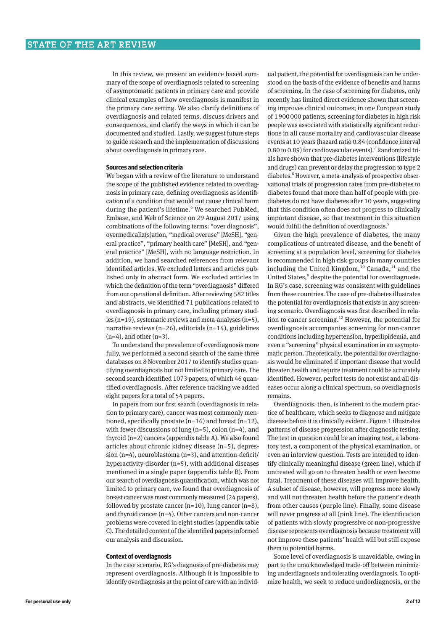In this review, we present an evidence based summary of the scope of overdiagnosis related to screening of asymptomatic patients in primary care and provide clinical examples of how overdiagnosis is manifest in the primary care setting. We also clarify definitions of overdiagnosis and related terms, discuss drivers and consequences, and clarify the ways in which it can be documented and studied. Lastly, we suggest future steps to guide research and the implementation of discussions about overdiagnosis in primary care.

#### **Sources and selection criteria**

We began with a review of the literature to understand the scope of the published evidence related to overdiagnosis in primary care, defining overdiagnosis as identifi‑ cation of a condition that would not cause clinical harm during the patient's lifetime.<sup>6</sup> We searched PubMed, Embase, and Web of Science on 29 August 2017 using combinations of the following terms: "over diagnosis", overmedicaliz(s)ation, "medical overuse" [MeSH], "general practice", "primary health care" [MeSH], and "general practice" [MeSH], with no language restriction. In addition, we hand searched references from relevant identified articles. We excluded letters and articles published only in abstract form. We excluded articles in which the definition of the term "overdiagnosis" differed from our operational definition. After reviewing 582 titles and abstracts, we identified 71 publications related to overdiagnosis in primary care, including primary studies (n=19), systematic reviews and meta-analyses (n=5), narrative reviews (n=26), editorials (n=14), guidelines  $(n=4)$ , and other  $(n=3)$ .

To understand the prevalence of overdiagnosis more fully, we performed a second search of the same three databases on 8 November 2017 to identify studies quantifying overdiagnosis but not limited to primary care. The second search identified 1073 papers, of which 46 quantified overdiagnosis. After reference tracking we added eight papers for a total of 54 papers.

In papers from our first search (overdiagnosis in relation to primary care), cancer was most commonly mentioned, specifically prostate  $(n=16)$  and breast  $(n=12)$ , with fewer discussions of lung (n=5), colon (n=4), and thyroid (n=2) cancers (appendix table A). We also found articles about chronic kidney disease (n=5), depression (n=4), neuroblastoma (n=3), and attention-deficit/ hyperactivity-disorder (n=5), with additional diseases mentioned in a single paper (appendix table B). From our search of overdiagnosis quantification, which was not limited to primary care, we found that overdiagnosis of breast cancer was most commonly measured (24 papers), followed by prostate cancer  $(n=10)$ , lung cancer  $(n=8)$ , and thyroid cancer (n=4). Other cancers and non-cancer problems were covered in eight studies (appendix table C). The detailed content of the identified papers informed our analysis and discussion.

#### **Context of overdiagnosis**

In the case scenario, RG's diagnosis of pre-diabetes may represent overdiagnosis. Although it is impossible to identify overdiagnosis at the point of care with an individual patient, the potential for overdiagnosis can be understood on the basis of the evidence of benefits and harms of screening. In the case of screening for diabetes, only recently has limited direct evidence shown that screening improves clinical outcomes; in one European study of 1900000 patients, screening for diabetes in high risk people was associated with statistically significant reductions in all cause mortality and cardiovascular disease events at 10 years (hazard ratio 0.84 (confidence interval 0.80 to 0.89) for cardiovascular events).<sup>7</sup> Randomized trials have shown that pre-diabetes interventions (lifestyle and drugs) can prevent or delay the progression to type 2 diabetes.<sup>8</sup> However, a meta-analysis of prospective observational trials of progression rates from pre-diabetes to diabetes found that more than half of people with prediabetes do not have diabetes after 10 years, suggesting that this condition often does not progress to clinically important disease, so that treatment in this situation would fulfill the definition of overdiagnosis.<sup>9</sup>

Given the high prevalence of diabetes, the many complications of untreated disease, and the benefit of screening at a population level, screening for diabetes is recommended in high risk groups in many countries including the United Kingdom,  $^{10}$  Canada,  $^{11}$  and the United States,<sup>8</sup> despite the potential for overdiagnosis. In RG's case, screening was consistent with guidelines from these countries. The case of pre-diabetes illustrates the potential for overdiagnosis that exists in any screening scenario. Overdiagnosis was first described in relation to cancer screening.<sup>12</sup> However, the potential for overdiagnosis accompanies screening for non-cancer conditions including hypertension, hyperlipidemia, and even a "screening" physical examination in an asymptomatic person. Theoretically, the potential for overdiagnosis would be eliminated if important disease that would threaten health and require treatment could be accurately identified. However, perfect tests do not exist and all diseases occur along a clinical spectrum, so overdiagnosis remains.

Overdiagnosis, then, is inherent to the modern prac‑ tice of healthcare, which seeks to diagnose and mitigate disease before it is clinically evident. Figure 1 illustrates patterns of disease progression after diagnostic testing. The test in question could be an imaging test, a laboratory test, a component of the physical examination, or even an interview question. Tests are intended to identify clinically meaningful disease (green line), which if untreated will go on to threaten health or even become fatal. Treatment of these diseases will improve health. A subset of disease, however, will progress more slowly and will not threaten health before the patient's death from other causes (purple line). Finally, some disease will never progress at all (pink line). The identification of patients with slowly progressive or non-progressive disease represents overdiagnosis because treatment will not improve these patients' health will but still expose them to potential harms.

Some level of overdiagnosis is unavoidable, owing in part to the unacknowledged trade-off between minimizing underdiagnosis and tolerating overdiagnosis. To optimize health, we seek to reduce underdiagnosis, or the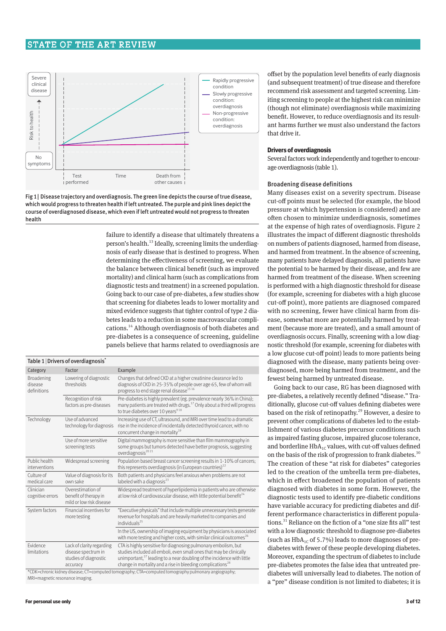### STATE OF THE ART REVIEW



Fig 1| Disease trajectory and overdiagnosis. The green line depicts the course of true disease, which would progress to threaten health if left untreated. The purple and pink lines depict the course of overdiagnosed disease, which even if left untreated would not progress to threaten health

> failure to identify a disease that ultimately threatens a person's health.<sup>13</sup> Ideally, screening limits the underdiagnosis of early disease that is destined to progress. When determining the effectiveness of screening, we evaluate the balance between clinical benefit (such as improved mortality) and clinical harm (such as complications from diagnostic tests and treatment) in a screened population. Going back to our case of pre-diabetes, a few studies show that screening for diabetes leads to lower mortality and mixed evidence suggests that tighter control of type 2 diabetes leads to a reduction in some macrovascular complications.14 Although overdiagnosis of both diabetes and pre-diabetes is a consequence of screening, guideline panels believe that harms related to overdiagnosis are

| Table 1   Drivers of overdiagnosis <sup>*</sup>                                                     |                                                                                       |                                                                                                                                                                                                                                                                                                       |  |  |  |
|-----------------------------------------------------------------------------------------------------|---------------------------------------------------------------------------------------|-------------------------------------------------------------------------------------------------------------------------------------------------------------------------------------------------------------------------------------------------------------------------------------------------------|--|--|--|
| Category                                                                                            | Factor                                                                                | Example                                                                                                                                                                                                                                                                                               |  |  |  |
| Broadening<br>disease<br>definitions                                                                | Lowering of diagnostic<br>thresholds                                                  | Changes that defined CKD at a higher creatinine clearance led to<br>diagnosis of CKD in 25-35% of people over age 65, few of whom will<br>progress to end stage renal disease <sup>15 16</sup>                                                                                                        |  |  |  |
|                                                                                                     | Recognition of risk<br>factors as pre-diseases                                        | Pre-diabetes is highly prevalent (eg. prevalence nearly 36% in China);<br>many patients are treated with drugs. <sup>17</sup> Only about a third will progress<br>to true diabetes over 10 years <sup>918</sup>                                                                                       |  |  |  |
| Technology                                                                                          | Use of advanced<br>technology for diagnosis                                           | Increasing use of CT, ultrasound, and MRI over time lead to a dramatic<br>rise in the incidence of incidentally detected thyroid cancer, with no<br>concurrent change in mortality <sup>19</sup>                                                                                                      |  |  |  |
|                                                                                                     | Use of more sensitive<br>screening tests                                              | Digital mammography is more sensitive than film mammography in<br>some groups but tumors detected have better prognosis, suggesting<br>overdiagnosis <sup>2021</sup>                                                                                                                                  |  |  |  |
| Public health<br>interventions                                                                      | Widespread screening                                                                  | Population based breast cancer screening results in 1-10% of cancers;<br>this represents overdiagnosis (in European countries) <sup>22</sup>                                                                                                                                                          |  |  |  |
| Culture of<br>medical care                                                                          | Value of diagnosis for its<br>own sake                                                | Both patients and physicians feel anxious when problems are not<br>labeled with a diagnosis $^{23}$                                                                                                                                                                                                   |  |  |  |
| Clinician<br>cognitive errors                                                                       | Overestimation of<br>benefit of therapy in<br>mild or low risk disease                | Widespread treatment of hyperlipidemia in patients who are otherwise<br>at low risk of cardiovascular disease, with little potential benefit <sup>24</sup>                                                                                                                                            |  |  |  |
| System factors                                                                                      | Financial incentives for<br>more testing                                              | "Executive physicals" that include multiple unnecessary tests generate<br>revenue for hospitals and are heavily marketed to companies and<br>individuals <sup>25</sup>                                                                                                                                |  |  |  |
|                                                                                                     |                                                                                       | In the US, ownership of imaging equipment by physicians is associated<br>with more testing and higher costs, with similar clinical outcomes <sup>26</sup>                                                                                                                                             |  |  |  |
| Fvidence<br>limitations                                                                             | Lack of clarity regarding<br>disease spectrum in<br>studies of diagnostic<br>accuracy | CTA is highly sensitive for diagnosing pulmonary embolism, but<br>studies included all emboli, even small ones that may be clinically<br>unimportant, <sup>27</sup> leading to a near doubling of the incidence with little<br>change in mortality and a rise in bleeding complications <sup>28</sup> |  |  |  |
| *CDK=chronic kidney disease; CT=computed tomography; CTA=computed tomography pulmonary angiography; |                                                                                       |                                                                                                                                                                                                                                                                                                       |  |  |  |

MRI=magnetic resonance imaging.

offset by the population level benefits of early diagnosis (and subsequent treatment) of true disease and therefore recommend risk assessment and targeted screening. Limiting screening to people at the highest risk can minimize (though not eliminate) overdiagnosis while maximizing benefit. However, to reduce overdiagnosis and its resultant harms further we must also understand the factors that drive it.

#### **Drivers of overdiagnosis**

Several factors work independently and together to encourage overdiagnosis (table 1).

#### Broadening disease definitions

Many diseases exist on a severity spectrum. Disease cut-off points must be selected (for example, the blood pressure at which hypertension is considered) and are often chosen to minimize underdiagnosis, sometimes at the expense of high rates of overdiagnosis. Figure 2 illustrates the impact of different diagnostic thresholds on numbers of patients diagnosed, harmed from disease, and harmed from treatment. In the absence of screening, many patients have delayed diagnosis, all patients have the potential to be harmed by their disease, and few are harmed from treatment of the disease. When screening is performed with a high diagnostic threshold for disease (for example, screening for diabetes with a high glucose cut-off point), more patients are diagnosed compared with no screening, fewer have clinical harm from disease, somewhat more are potentially harmed by treatment (because more are treated), and a small amount of overdiagnosis occurs. Finally, screening with a low diagnostic threshold (for example, screening for diabetes with a low glucose cut-off point) leads to more patients being diagnosed with the disease, many patients being overdiagnosed, more being harmed from treatment, and the fewest being harmed by untreated disease.

Going back to our case, RG has been diagnosed with pre-diabetes, a relatively recently defined "disease." Traditionally, glucose cut-off values defining diabetes were based on the risk of retinopathy.<sup>29</sup> However, a desire to prevent other complications of diabetes led to the establishment of various diabetes precursor conditions such as impaired fasting glucose, impaired glucose tolerance, and borderline  $HbA_{1C}$  values, with cut-off values defined on the basis of the risk of progression to frank diabetes.<sup>30</sup> The creation of these "at risk for diabetes" categories led to the creation of the umbrella term pre-diabetes, which in effect broadened the population of patients diagnosed with diabetes in some form. However, the diagnostic tests used to identify pre-diabetic conditions have variable accuracy for predicting diabetes and different performance characteristics in different populations.<sup>31</sup> Reliance on the fiction of a "one size fits all" test with a low diagnostic threshold to diagnose pre-diabetes (such as  $HbA_{1C}$  of 5.7%) leads to more diagnoses of prediabetes with fewer of these people developing diabetes. Moreover, expanding the spectrum of diabetes to include pre-diabetes promotes the false idea that untreated prediabetes will universally lead to diabetes. The notion of a "pre" disease condition is not limited to diabetes; it is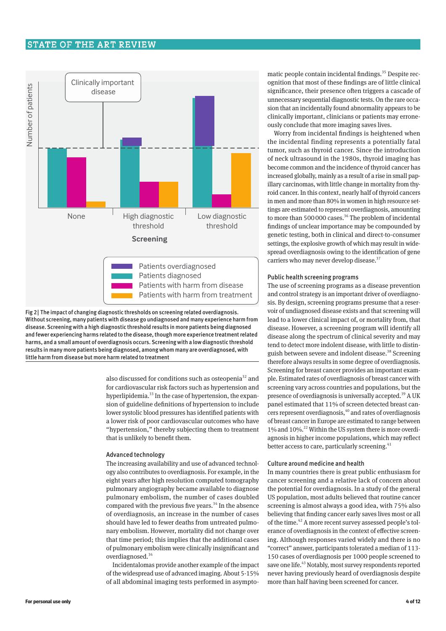# STATE OF THE ART REVIEW





also discussed for conditions such as osteopenia<sup>32</sup> and for cardiovascular risk factors such as hypertension and hyperlipidemia.<sup>33</sup> In the case of hypertension, the expansion of guideline definitions of hypertension to include lower systolic blood pressures has identified patients with a lower risk of poor cardiovascular outcomes who have "hypertension," thereby subjecting them to treatment that is unlikely to benefit them.

#### Advanced technology

The increasing availability and use of advanced technology also contributes to overdiagnosis. For example, in the eight years after high resolution computed tomography pulmonary angiography became available to diagnose pulmonary embolism, the number of cases doubled compared with the previous five years.<sup>34</sup> In the absence of overdiagnosis, an increase in the number of cases should have led to fewer deaths from untreated pulmonary embolism. However, mortality did not change over that time period; this implies that the additional cases of pulmonary embolism were clinically insignificant and overdiagnosed.34

Incidentalomas provide another example of the impact of the widespread use of advanced imaging. About 5-15% of all abdominal imaging tests performed in asymptomatic people contain incidental findings.<sup>35</sup> Despite recognition that most of these findings are of little clinical significance, their presence often triggers a cascade of unnecessary sequential diagnostic tests. On the rare occasion that an incidentally found abnormality appears to be clinically important, clinicians or patients may erroneously conclude that more imaging saves lives.

Worry from incidental findings is heightened when the incidental finding represents a potentially fatal tumor, such as thyroid cancer. Since the introduction of neck ultrasound in the 1980s, thyroid imaging has become common and the incidence of thyroid cancer has increased globally, mainly as a result of a rise in small papillary carcinomas, with little change in mortality from thyroid cancer. In this context, nearly half of thyroid cancers in men and more than 80% in women in high resource settings are estimated to represent overdiagnosis, amounting to more than 500 000 cases.<sup>36</sup> The problem of incidental findings of unclear importance may be compounded by genetic testing, both in clinical and direct-to-consumer settings, the explosive growth of which may result in widespread overdiagnosis owing to the identification of gene carriers who may never develop disease.<sup>37</sup>

#### Public health screening programs

The use of screening programs as a disease prevention and control strategy is an important driver of overdiagnosis. By design, screening programs presume that a reservoir of undiagnosed disease exists and that screening will lead to a lower clinical impact of, or mortality from, that disease. However, a screening program will identify all disease along the spectrum of clinical severity and may tend to detect more indolent disease, with little to distinguish between severe and indolent disease.<sup>38</sup> Screening therefore always results in some degree of overdiagnosis. Screening for breast cancer provides an important example. Estimated rates of overdiagnosis of breast cancer with screening vary across countries and populations, but the presence of overdiagnosis is universally accepted.<sup>39</sup> A UK panel estimated that 11% of screen detected breast cancers represent overdiagnosis, <sup>40</sup> and rates of overdiagnosis of breast cancer in Europe are estimated to range between 1% and 10%.<sup>22</sup> Within the US system there is more overdiagnosis in higher income populations, which may reflect better access to care, particularly screening.<sup>41</sup>

#### Culture around medicine and health

In many countries there is great public enthusiasm for cancer screening and a relative lack of concern about the potential for overdiagnosis. In a study of the general US population, most adults believed that routine cancer screening is almost always a good idea, with 75% also believing that finding cancer early saves lives most or all of the time.<sup>42</sup> A more recent survey assessed people's tolerance of overdiagnosis in the context of effective screening. Although responses varied widely and there is no "correct" answer, participants tolerated a median of 113-150 cases of overdiagnosis per 1000 people screened to save one life.<sup>43</sup> Notably, most survey respondents reported never having previously heard of overdiagnosis despite more than half having been screened for cancer.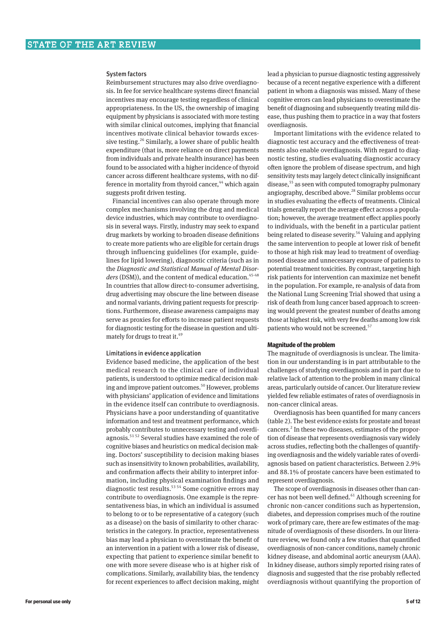#### System factors

Reimbursement structures may also drive overdiagno‑ sis. In fee for service healthcare systems direct financial incentives may encourage testing regardless of clinical appropriateness. In the US, the ownership of imaging equipment by physicians is associated with more testing with similar clinical outcomes, implying that financial incentives motivate clinical behavior towards excessive testing.<sup>26</sup> Similarly, a lower share of public health expenditure (that is, more reliance on direct payments from individuals and private health insurance) has been found to be associated with a higher incidence of thyroid cancer across different healthcare systems, with no difference in mortality from thyroid cancer,<sup>44</sup> which again suggests profit driven testing.

Financial incentives can also operate through more complex mechanisms involving the drug and medical device industries, which may contribute to overdiagnosis in several ways. Firstly, industry may seek to expand drug markets by working to broaden disease definitions to create more patients who are eligible for certain drugs through influencing guidelines (for example, guide‑ lines for lipid lowering), diagnostic criteria (such as in the *Diagnostic and Statistical Manual of Mental Disor*ders (DSM)), and the content of medical education.<sup>45-48</sup> In countries that allow direct-to-consumer advertising, drug advertising may obscure the line between disease and normal variants, driving patient requests for prescriptions. Furthermore, disease awareness campaigns may serve as proxies for efforts to increase patient requests for diagnostic testing for the disease in question and ultimately for drugs to treat it.<sup>49</sup>

#### Limitations in evidence application

Evidence based medicine, the application of the best medical research to the clinical care of individual patients, is understood to optimize medical decision making and improve patient outcomes.<sup>50</sup> However, problems with physicians' application of evidence and limitations in the evidence itself can contribute to overdiagnosis. Physicians have a poor understanding of quantitative information and test and treatment performance, which probably contributes to unnecessary testing and overdiagnosis.51 52 Several studies have examined the role of cognitive biases and heuristics on medical decision making. Doctors' susceptibility to decision making biases such as insensitivity to known probabilities, availability, and confirmation affects their ability to interpret information, including physical examination findings and diagnostic test results.<sup>53 54</sup> Some cognitive errors may contribute to overdiagnosis. One example is the representativeness bias, in which an individual is assumed to belong to or to be representative of a category (such as a disease) on the basis of similarity to other characteristics in the category. In practice, representativeness bias may lead a physician to overestimate the benefit of an intervention in a patient with a lower risk of disease, expecting that patient to experience similar benefit to one with more severe disease who is at higher risk of complications. Similarly, availability bias, the tendency for recent experiences to affect decision making, might lead a physician to pursue diagnostic testing aggressively because of a recent negative experience with a different patient in whom a diagnosis was missed. Many of these cognitive errors can lead physicians to overestimate the benefit of diagnosing and subsequently treating mild disease, thus pushing them to practice in a way that fosters overdiagnosis.

Important limitations with the evidence related to diagnostic test accuracy and the effectiveness of treatments also enable overdiagnosis. With regard to diagnostic testing, studies evaluating diagnostic accuracy often ignore the problem of disease spectrum, and high sensitivity tests may largely detect clinically insignificant disease,<sup>55</sup> as seen with computed tomography pulmonary angiography, described above.<sup>28</sup> Similar problems occur in studies evaluating the effects of treatments. Clinical trials generally report the average effect across a popula‑ tion; however, the average treatment effect applies poorly to individuals, with the benefit in a particular patient being related to disease severity.<sup>56</sup> Valuing and applying the same intervention to people at lower risk of benefit to those at high risk may lead to treatment of overdiagnosed disease and unnecessary exposure of patients to potential treatment toxicities. By contrast, targeting high risk patients for intervention can maximize net benefit in the population. For example, re-analysis of data from the National Lung Screening Trial showed that using a risk of death from lung cancer based approach to screening would prevent the greatest number of deaths among those at highest risk, with very few deaths among low risk patients who would not be screened.<sup>57</sup>

#### **Magnitude of the problem**

The magnitude of overdiagnosis is unclear. The limitation in our understanding is in part attributable to the challenges of studying overdiagnosis and in part due to relative lack of attention to the problem in many clinical areas, particularly outside of cancer. Our literature review yielded few reliable estimates of rates of overdiagnosis in non-cancer clinical areas.

Overdiagnosis has been quantified for many cancers (table 2). The best evidence exists for prostate and breast cancers.<sup>2</sup> In these two diseases, estimates of the proportion of disease that represents overdiagnosis vary widely across studies, reflecting both the challenges of quantifying overdiagnosis and the widely variable rates of overdiagnosis based on patient characteristics. Between 2.9% and 88.1% of prostate cancers have been estimated to represent overdiagnosis.

The scope of overdiagnosis in diseases other than cancer has not been well defined.<sup>61</sup> Although screening for chronic non-cancer conditions such as hypertension, diabetes, and depression comprises much of the routine work of primary care, there are few estimates of the magnitude of overdiagnosis of these disorders. In our literature review, we found only a few studies that quantified overdiagnosis of non-cancer conditions, namely chronic kidney disease, and abdominal aortic aneurysm (AAA). In kidney disease, authors simply reported rising rates of diagnosis and suggested that the rise probably reflected overdiagnosis without quantifying the proportion of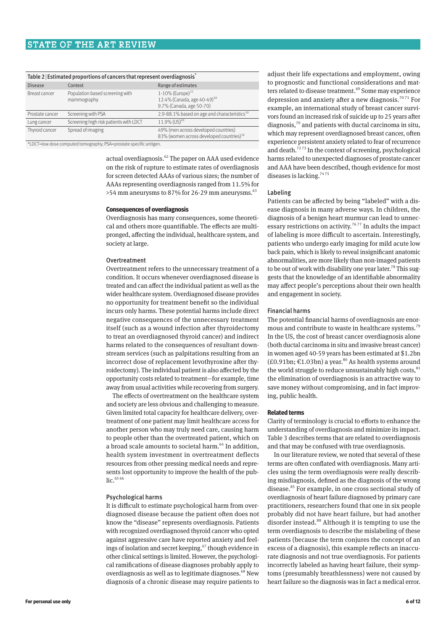# STATE OF THE ART REVIEW

| Table 2 Estimated proportions of cancers that represent overdiagnosis |                                                |                                                                                               |  |  |  |  |
|-----------------------------------------------------------------------|------------------------------------------------|-----------------------------------------------------------------------------------------------|--|--|--|--|
| <b>Disease</b>                                                        | Context                                        | Range of estimates                                                                            |  |  |  |  |
| Breast cancer                                                         | Population based screening with<br>mammography | 1-10% (Europe) $^{22}$<br>12.4% (Canada, age 40-49) <sup>58</sup><br>9.7% (Canada, age 50-70) |  |  |  |  |
| Prostate cancer                                                       | Screening with PSA                             | 2.9-88.1% based on age and characteristics <sup>59</sup>                                      |  |  |  |  |
| Lung cancer                                                           | Screening high risk patients with LDCT         | $11.9\%$ (US) <sup>60</sup>                                                                   |  |  |  |  |
| Thyroid cancer                                                        | Spread of imaging                              | 49% (men across developed countries)<br>83% (women across developed countries) <sup>36</sup>  |  |  |  |  |

\*LDCT=low dose computed tomography; PSA=prostate specific antigen.

actual overdiagnosis.<sup>62</sup> The paper on AAA used evidence on the risk of rupture to estimate rates of overdiagnosis for screen detected AAAs of various sizes; the number of AAAs representing overdiagnosis ranged from 11.5% for  $>54$  mm aneurysms to 87% for 26-29 mm aneurysms.<sup>63</sup>

#### **Consequences of overdiagnosis**

Overdiagnosis has many consequences, some theoretical and others more quantifiable. The effects are multipronged, affecting the individual, healthcare system, and society at large.

#### Overtreatment

Overtreatment refers to the unnecessary treatment of a condition. It occurs whenever overdiagnosed disease is treated and can affect the individual patient as well as the wider healthcare system. Overdiagnosed disease provides no opportunity for treatment benefit so the individual incurs only harms. These potential harms include direct negative consequences of the unnecessary treatment itself (such as a wound infection after thyroidectomy to treat an overdiagnosed thyroid cancer) and indirect harms related to the consequences of resultant downstream services (such as palpitations resulting from an incorrect dose of replacement levothyroxine after thyroidectomy). The individual patient is also affected by the opportunity costs related to treatment—for example, time away from usual activities while recovering from surgery.

The effects of overtreatment on the healthcare system and society are less obvious and challenging to measure. Given limited total capacity for healthcare delivery, overtreatment of one patient may limit healthcare access for another person who may truly need care, causing harm to people other than the overtreated patient, which on a broad scale amounts to societal harm.<sup>64</sup> In addition, health system investment in overtreatment deflects resources from other pressing medical needs and repre‑ sents lost opportunity to improve the health of the public. $65,66$ 

#### Psychological harms

It is difficult to estimate psychological harm from overdiagnosed disease because the patient often does not know the "disease" represents overdiagnosis. Patients with recognized overdiagnosed thyroid cancer who opted against aggressive care have reported anxiety and feelings of isolation and secret keeping,<sup>67</sup> though evidence in other clinical settings is limited. However, the psychological ramifications of disease diagnoses probably apply to overdiagnosis as well as to legitimate diagnoses.<sup>68</sup> New diagnosis of a chronic disease may require patients to

adjust their life expectations and employment, owing to prognostic and functional considerations and matters related to disease treatment.<sup>69</sup> Some may experience depression and anxiety after a new diagnosis.<sup>7071</sup> For example, an international study of breast cancer survivors found an increased risk of suicide up to 25 years after diagnosis, $70$  and patients with ductal carcinoma in situ, which may represent overdiagnosed breast cancer, often experience persistent anxiety related to fear of recurrence and death.<sup>7273</sup> In the context of screening, psychological harms related to unexpected diagnoses of prostate cancer and AAA have been described, though evidence for most diseases is lacking.  $^{74\,75}$ 

#### Labeling

Patients can be affected by being "labeled" with a disease diagnosis in many adverse ways. In children, the diagnosis of a benign heart murmur can lead to unnecessary restrictions on activity.<sup>7677</sup> In adults the impact of labeling is more difficult to ascertain. Interestingly, patients who undergo early imaging for mild acute low back pain, which is likely to reveal insignificant anatomic abnormalities, are more likely than non-imaged patients to be out of work with disability one year later.<sup>78</sup> This suggests that the knowledge of an identifiable abnormality may affect people's perceptions about their own health and engagement in society.

#### Financial harms

The potential financial harms of overdiagnosis are enormous and contribute to waste in healthcare systems.<sup>79</sup> In the US, the cost of breast cancer overdiagnosis alone (both ductal carcinoma in situ and invasive breast cancer) in women aged 40-59 years has been estimated at \$1.2bn (£0.91bn; €1.03bn) a year.<sup>80</sup> As health systems around the world struggle to reduce unsustainably high costs, $81$ the elimination of overdiagnosis is an attractive way to save money without compromising, and in fact improving, public health.

#### **Related terms**

Clarity of terminology is crucial to efforts to enhance the understanding of overdiagnosis and minimize its impact. Table 3 describes terms that are related to overdiagnosis and that may be confused with true overdiagnosis.

In our literature review, we noted that several of these terms are often conflated with overdiagnosis. Many articles using the term overdiagnosis were really describing misdiagnosis, defined as the diagnosis of the wrong disease.<sup>85</sup> For example, in one cross sectional study of overdiagnosis of heart failure diagnosed by primary care practitioners, researchers found that one in six people probably did not have heart failure, but had another disorder instead.<sup>88</sup> Although it is tempting to use the term overdiagnosis to describe the mislabeling of these patients (because the term conjures the concept of an excess of a diagnosis), this example reflects an inaccurate diagnosis and not true overdiagnosis. For patients incorrectly labeled as having heart failure, their symptoms (presumably breathlessness) were not caused by heart failure so the diagnosis was in fact a medical error.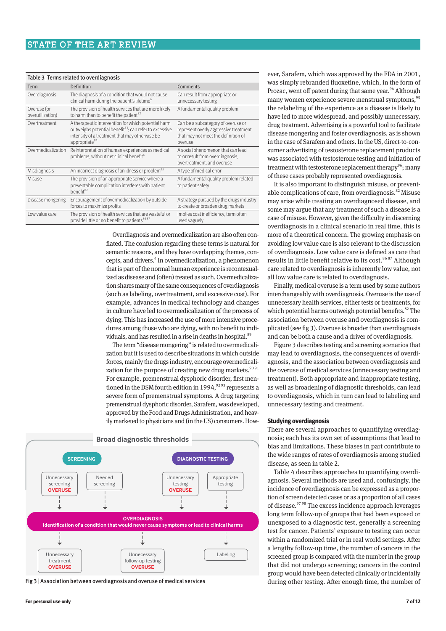| Table 3   Terms related to overdiagnosis |                                                                                                                                                                                                          |                                                                                                                               |  |  |  |  |
|------------------------------------------|----------------------------------------------------------------------------------------------------------------------------------------------------------------------------------------------------------|-------------------------------------------------------------------------------------------------------------------------------|--|--|--|--|
| Term                                     | Definition                                                                                                                                                                                               | Comments                                                                                                                      |  |  |  |  |
| Overdiagnosis                            | The diagnosis of a condition that would not cause<br>clinical harm during the patient's lifetime <sup>6</sup>                                                                                            | Can result from appropriate or<br>unnecessary testing                                                                         |  |  |  |  |
| Overuse (or<br>overutilization)          | The provision of health services that are more likely<br>to harm than to benefit the patient <sup>82</sup>                                                                                               | A fundamental quality problem                                                                                                 |  |  |  |  |
| Overtreatment                            | A therapeutic intervention for which potential harm<br>outweighs potential benefit <sup>83</sup> ; can refer to excessive<br>intensity of a treatment that may otherwise be<br>appropriate <sup>84</sup> | Can be a subcategory of overuse or<br>represent overly aggressive treatment<br>that may not meet the definition of<br>overuse |  |  |  |  |
| Overmedicalization                       | Reinterpretation of human experiences as medical<br>problems, without net clinical benefit <sup>4</sup>                                                                                                  | A social phenomenon that can lead<br>to or result from overdiagnosis,<br>overtreatment, and overuse                           |  |  |  |  |
| Misdiagnosis                             | An incorrect diagnosis of an illness or problem <sup>85</sup>                                                                                                                                            | A type of medical error                                                                                                       |  |  |  |  |
| Misuse                                   | The provision of an appropriate service where a<br>preventable complication interferes with patient<br>benefit <sup>82</sup>                                                                             | A fundamental quality problem related<br>to patient safety                                                                    |  |  |  |  |
| Disease mongering                        | Encouragement of overmedicalization by outside<br>forces to maximize profits                                                                                                                             | A strategy pursued by the drugs industry<br>to create or broaden drug markets                                                 |  |  |  |  |
| Low value care                           | The provision of health services that are wasteful or<br>provide little or no benefit to patients <sup>86 87</sup>                                                                                       | Implies cost inefficiency; term often<br>used vaguely                                                                         |  |  |  |  |

Overdiagnosis and overmedicalization are also often conflated. The confusion regarding these terms is natural for semantic reasons, and they have overlapping themes, concepts, and drivers.<sup>4</sup> In overmedicalization, a phenomenon that is part of the normal human experience is recontexualized as disease and (often) treated as such. Overmedicalization shares many of the same consequences of overdiagnosis (such as labeling, overtreatment, and excessive cost). For example, advances in medical technology and changes in culture have led to overmedicalization of the process of dying. This has increased the use of more intensive procedures among those who are dying, with no benefit to individuals, and has resulted in a rise in deaths in hospital.<sup>89</sup>

The term "disease mongering" is related to overmedicalization but it is used to describe situations in which outside forces, mainly the drugs industry, encourage overmedicalization for the purpose of creating new drug markets.<sup>90 91</sup> For example, premenstrual dysphoric disorder, first mentioned in the DSM fourth edition in 1994,  $9293$  represents a severe form of premenstrual symptoms. A drug targeting premenstrual dysphoric disorder, Sarafem, was developed, approved by the Food and Drugs Administration, and heavily marketed to physicians and (in the US) consumers. How-



Fig 3| Association between overdiagnosis and overuse of medical services

ever, Sarafem, which was approved by the FDA in 2001, was simply rebranded fluoxetine, which, in the form of Prozac, went off patent during that same year.<sup>94</sup> Although many women experience severe menstrual symptoms,<sup>95</sup> the relabeling of the experience as a disease is likely to have led to more widespread, and possibly unnecessary, drug treatment. Advertising is a powerful tool to facilitate disease mongering and foster overdiagnosis, as is shown in the case of Sarafem and others. In the US, direct-to-consumer advertising of testosterone replacement products was associated with testosterone testing and initiation of treatment with testosterone replacement therapy<sup>96</sup>; many of these cases probably represented overdiagnosis.

It is also important to distinguish misuse, or preventable complications of care, from overdiagnosis. $82$  Misuse may arise while treating an overdiagnosed disease, and some may argue that any treatment of such a disease is a case of misuse. However, given the difficulty in discerning overdiagnosis in a clinical scenario in real time, this is more of a theoretical concern. The growing emphasis on avoiding low value care is also relevant to the discussion of overdiagnosis. Low value care is defined as care that results in little benefit relative to its cost.<sup>86 87</sup> Although care related to overdiagnosis is inherently low value, not all low value care is related to overdiagnosis.

Finally, medical overuse is a term used by some authors interchangeably with overdiagnosis. Overuse is the use of unnecessary health services, either tests or treatments, for which potential harms outweigh potential benefits.<sup>82</sup> The association between overuse and overdiagnosis is complicated (see fig 3). Overuse is broader than overdiagnosis and can be both a cause and a driver of overdiagnosis.

Figure 3 describes testing and screening scenarios that may lead to overdiagnosis, the consequences of overdiagnosis, and the association between overdiagnosis and the overuse of medical services (unnecessary testing and treatment). Both appropriate and inappropriate testing, as well as broadening of diagnostic thresholds, can lead to overdiagnosis, which in turn can lead to labeling and unnecessary testing and treatment.

#### **Studying overdiagnosis**

There are several approaches to quantifying overdiagnosis; each has its own set of assumptions that lead to bias and limitations. These biases in part contribute to the wide ranges of rates of overdiagnosis among studied disease, as seen in table 2.

Table 4 describes approaches to quantifying overdiagnosis. Several methods are used and, confusingly, the incidence of overdiagnosis can be expressed as a proportion of screen detected cases or as a proportion of all cases of disease.97 98 The excess incidence approach leverages long term follow-up of groups that had been exposed or unexposed to a diagnostic test, generally a screening test for cancer. Patients' exposure to testing can occur within a randomized trial or in real world settings. After a lengthy follow-up time, the number of cancers in the screened group is compared with the number in the group that did not undergo screening; cancers in the control group would have been detected clinically or incidentally during other testing. After enough time, the number of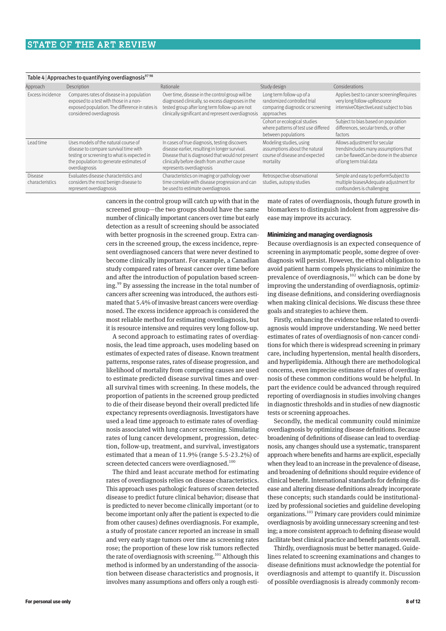| Table 4 Approaches to quantifying overdiagnosis <sup>9798</sup> |                                                                                                                                                                                          |                                                                                                                                                                                                                               |                                                                                                            |                                                                                                                                             |  |  |  |  |
|-----------------------------------------------------------------|------------------------------------------------------------------------------------------------------------------------------------------------------------------------------------------|-------------------------------------------------------------------------------------------------------------------------------------------------------------------------------------------------------------------------------|------------------------------------------------------------------------------------------------------------|---------------------------------------------------------------------------------------------------------------------------------------------|--|--|--|--|
| Approach                                                        | Description                                                                                                                                                                              | Rationale                                                                                                                                                                                                                     | Study design                                                                                               | Considerations                                                                                                                              |  |  |  |  |
| Excess incidence                                                | Compares rates of disease in a population<br>exposed to a test with those in a non-<br>exposed population. The difference in rates is<br>considered overdiagnosis                        | Over time, disease in the control group will be<br>diagnosed clinically, so excess diagnoses in the<br>tested group after long term follow-up are not<br>clinically significant and represent overdiagnosis                   | Long term follow-up of a<br>randomized controlled trial<br>comparing diagnostic or screening<br>approaches | Applies best to cancer screening Requires<br>very long follow-upResource<br>intensiveObjectiveLeast subject to bias                         |  |  |  |  |
|                                                                 |                                                                                                                                                                                          |                                                                                                                                                                                                                               | Cohort or ecological studies<br>where patterns of test use differed<br>between populations                 | Subject to bias based on population<br>differences, secular trends, or other<br>factors                                                     |  |  |  |  |
| Lead time                                                       | Uses models of the natural course of<br>disease to compare survival time with<br>testing or screening to what is expected in<br>the population to generate estimates of<br>overdiagnosis | In cases of true diagnosis, testing discovers<br>disease earlier, resulting in longer survival.<br>Disease that is diagnosed that would not present<br>clinically before death from another cause<br>represents overdiagnosis | Modeling studies, using<br>assumptions about the natural<br>course of disease and expected<br>mortality    | Allows adjustment for secular<br>trendsIncludes many assumptions that<br>can be flawedCan be done in the absence<br>of long term trial data |  |  |  |  |
| Disease<br>characteristics                                      | Evaluates disease characteristics and<br>considers the most benign disease to<br>represent overdiagnosis                                                                                 | Characteristics on imaging or pathology over<br>time correlate with disease progression and can<br>be used to estimate overdiagnosis                                                                                          | Retrospective observational<br>studies, autopsy studies                                                    | Simple and easy to performSubject to<br>multiple biasesAdequate adjustment for<br>confounders is challenging                                |  |  |  |  |

cancers in the control group will catch up with that in the screened group—the two groups should have the same number of clinically important cancers over time but early detection as a result of screening should be associated with better prognosis in the screened group. Extra cancers in the screened group, the excess incidence, repre‑ sent overdiagnosed cancers that were never destined to become clinically important. For example, a Canadian study compared rates of breast cancer over time before and after the introduction of population based screening.<sup>99</sup> By assessing the increase in the total number of cancers after screening was introduced, the authors estimated that 5.4% of invasive breast cancers were overdiagnosed. The excess incidence approach is considered the most reliable method for estimating overdiagnosis, but it is resource intensive and requires very long follow-up.

A second approach to estimating rates of overdiag‑ nosis, the lead time approach, uses modeling based on estimates of expected rates of disease. Known treatment patterns, response rates, rates of disease progression, and likelihood of mortality from competing causes are used to estimate predicted disease survival times and overall survival times with screening. In these models, the proportion of patients in the screened group predicted to die of their disease beyond their overall predicted life expectancy represents overdiagnosis. Investigators have used a lead time approach to estimate rates of overdiagnosis associated with lung cancer screening. Simulating rates of lung cancer development, progression, detection, follow-up, treatment, and survival, investigators estimated that a mean of 11.9% (range 5.5-23.2%) of screen detected cancers were overdiagnosed.<sup>100</sup>

The third and least accurate method for estimating rates of overdiagnosis relies on disease characteristics. This approach uses pathologic features of screen detected disease to predict future clinical behavior; disease that is predicted to never become clinically important (or to become important only after the patient is expected to die from other causes) defines overdiagnosis. For example, a study of prostate cancer reported an increase in small and very early stage tumors over time as screening rates rose; the proportion of these low risk tumors reflected the rate of overdiagnosis with screening.<sup>101</sup> Although this method is informed by an understanding of the association between disease characteristics and prognosis, it involves many assumptions and offers only a rough estimate of rates of overdiagnosis, though future growth in biomarkers to distinguish indolent from aggressive dis‑ ease may improve its accuracy.

#### **Minimizing and managing overdiagnosis**

Because overdiagnosis is an expected consequence of screening in asymptomatic people, some degree of overdiagnosis will persist. However, the ethical obligation to avoid patient harm compels physicians to minimize the prevalence of overdiagnosis, $102$  which can be done by improving the understanding of overdiagnosis, optimizing disease definitions, and considering overdiagnosis when making clinical decisions. We discuss these three goals and strategies to achieve them.

Firstly, enhancing the evidence base related to overdiagnosis would improve understanding. We need better estimates of rates of overdiagnosis of non-cancer conditions for which there is widespread screening in primary care, including hypertension, mental health disorders, and hyperlipidemia. Although there are methodological concerns, even imprecise estimates of rates of overdiagnosis of these common conditions would be helpful. In part the evidence could be advanced through required reporting of overdiagnosis in studies involving changes in diagnostic thresholds and in studies of new diagnostic tests or screening approaches.

Secondly, the medical community could minimize overdiagnosis by optimizing disease definitions. Because broadening of definitions of disease can lead to overdiagnosis, any changes should use a systematic, transparent approach where benefits and harms are explicit, especially when they lead to an increase in the prevalence of disease, and broadening of definitions should require evidence of clinical benefit. International standards for defining dis‑ ease and altering disease definitions already incorporate these concepts; such standards could be institutionalized by professional societies and guideline developing organizations.103 Primary care providers could minimize overdiagnosis by avoiding unnecessary screening and testing; a more consistent approach to defining disease would facilitate best clinical practice and benefit patients overall.

Thirdly, overdiagnosis must be better managed. Guide‑ lines related to screening examinations and changes to disease definitions must acknowledge the potential for overdiagnosis and attempt to quantify it. Discussion of possible overdiagnosis is already commonly recom-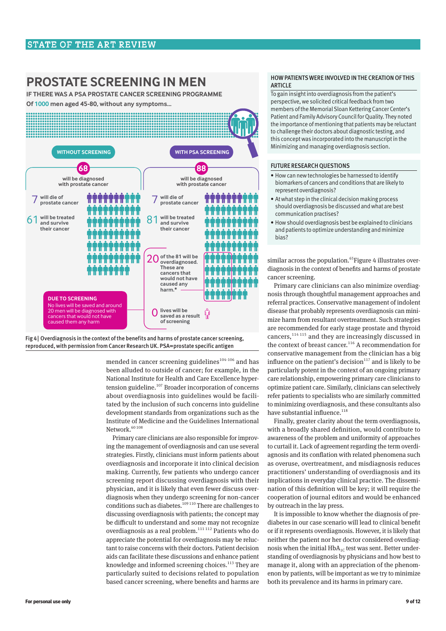# **PROSTATE SCREENING IN MEN**

**IF THERE WAS A PSA PROSTATE CANCER SCREENING PROGRAMME** 

Of 1000 men aged 45-80, without any symptoms...





mended in cancer screening guidelines $104-106$  and has been alluded to outside of cancer; for example, in the National Institute for Health and Care Excellence hyper‑ tension guideline.<sup>107</sup> Broader incorporation of concerns about overdiagnosis into guidelines would be facili‑ tated by the inclusion of such concerns into guideline development standards from organizations such as the Institute of Medicine and the Guidelines International Network.<sup>60 108</sup>

Primary care clinicians are also responsible for improving the management of overdiagnosis and can use several strategies. Firstly, clinicians must inform patients about overdiagnosis and incorporate it into clinical decision making. Currently, few patients who undergo cancer screening report discussing overdiagnosis with their physician, and it is likely that even fewer discuss overdiagnosis when they undergo screening for non-cancer conditions such as diabetes.<sup>109 110</sup> There are challenges to discussing overdiagnosis with patients; the concept may be difficult to understand and some may not recognize overdiagnosis as a real problem. $111112$  Patients who do appreciate the potential for overdiagnosis may be reluctant to raise concerns with their doctors. Patient decision aids can facilitate these discussions and enhance patient knowledge and informed screening choices. $113$  They are particularly suited to decisions related to population based cancer screening, where benefits and harms are

#### HOW PATIENTS WERE INVOLVED IN THE CREATION OF THIS ARTICLE

To gain insight into overdiagnosis from the patient's perspective, we solicited critical feedback from two members of the Memorial Sloan Kettering Cancer Center's Patient and Family Advisory Council for Quality. They noted the importance of mentioning that patients may be reluctant to challenge their doctors about diagnostic testing, and this concept was incorporated into the manuscript in the Minimizing and managing overdiagnosis section.

#### FUTURE RESEARCH QUESTIONS

- How can new technologies be harnessed to identify biomarkers of cancers and conditions that are likely to represent overdiagnosis?
- At what step in the clinical decision making process should overdiagnosis be discussed and what are best communication practises?
- How should overdiagnosis best be explained to clinicians and patients to optimize understanding and minimize bias?

similar across the population.<sup>65</sup>Figure 4 illustrates overdiagnosis in the context of benefits and harms of prostate cancer screening.

Primary care clinicians can also minimize overdiagnosis through thoughtful management approaches and referral practices. Conservative management of indolent disease that probably represents overdiagnosis can minimize harm from resultant overtreatment. Such strategies are recommended for early stage prostate and thyroid cancers, $114115$  and they are increasingly discussed in the context of breast cancer.<sup>116</sup> A recommendation for conservative management from the clinician has a big influence on the patient's decision $117$  and is likely to be particularly potent in the context of an ongoing primary care relationship, empowering primary care clinicians to optimize patient care. Similarly, clinicians can selectively refer patients to specialists who are similarly committed to minimizing overdiagnosis, and these consultants also have substantial influence. $118$ 

Finally, greater clarity about the term overdiagnosis, with a broadly shared definition, would contribute to awareness of the problem and uniformity of approaches to curtail it. Lack of agreement regarding the term overdiagnosis and its conflation with related phenomena such as overuse, overtreatment, and misdiagnosis reduces practitioners' understanding of overdiagnosis and its implications in everyday clinical practice. The dissemination of this definition will be key; it will require the cooperation of journal editors and would be enhanced by outreach in the lay press.

It is impossible to know whether the diagnosis of prediabetes in our case scenario will lead to clinical benefit or if it represents overdiagnosis. However, it is likely that neither the patient nor her doctor considered overdiagnosis when the initial  $HbA_{1C}$  test was sent. Better understanding of overdiagnosis by physicians and how best to manage it, along with an appreciation of the phenomenon by patients, will be important as we try to minimize both its prevalence and its harms in primary care.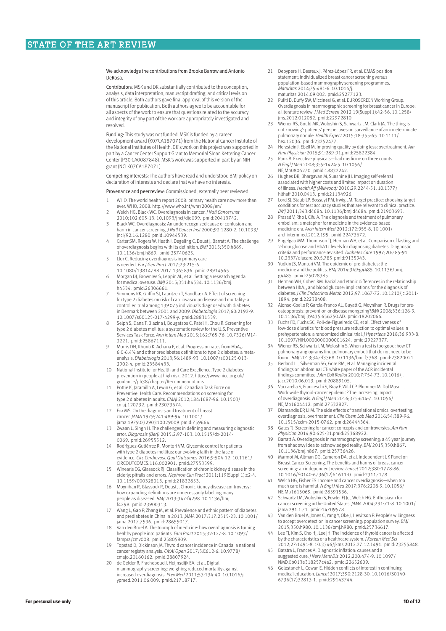We acknowledge the contributions from Brooke Barrow and Antonio DeRosa.

Contributors: MSK and DK substantially contributed to the conception, analysis, data interpretation, manuscript drafting, and critical revision of this article. Both authors gave final approval of this version of the manuscript for publication. Both authors agree to be accountable for all aspects of the work to ensure that questions related to the accuracy and integrity of any part of the work are appropriately investigated and resolved.

Funding: This study was not funded. MSK is funded by a career development award (K07CA187071) from the National Cancer Institute of the National Institutes of Health. DK's work on this project was supported in part by a Cancer Center Support Grant to Memorial Sloan Kettering Cancer Center (P30 CA0087848). MSK's work was supported in part by an NIH grant (NCI K07CA187071).

Competing interests: The authors have read and understood BMJ policy on declaration of interests and declare that we have no interests.

Provenance and peer review: Commissioned; externally peer reviewed.

- 1 WHO. The world health report 2008: primary health care now more than ever. WHO, 2008. http://www.who.int/whr/2008/en/
- 2 Welch HG, Black WC. Overdiagnosis in cancer. *J Natl Cancer Inst* 2010;102:605-13. 10.1093/jnci/djq099. pmid:20413742.
- 3 Black WC. Overdiagnosis: An underrecognized cause of confusion and harm in cancer screening. *J Natl Cancer Inst* 2000;92:1280-2. 10.1093/ jnci/92.16.1280 pmid:10944539.
- 4 Carter SM, Rogers W, Heath I, Degeling C, Doust J, Barratt A. The challenge of overdiagnosis begins with its definition. *BMJ* 2015;350:h869. 10.1136/bmj.h869. pmid:25740625.
- Llor C. Reducing overdiagnosis in primary care is needed. *Eur J Gen Pract* 2017;23:215-6.
- 10.1080/13814788.2017.1365836. pmid:28914565. 6 Morgan DJ, Brownlee S, Leppin AL, et al. Setting a research agenda for medical overuse. *BMJ* 2015;351:h4534. 10.1136/bmj. h4534. pmid:26306661.
- Simmons RK, Griffin SJ, Lauritzen T, Sandbæk A. Effect of screening for type 2 diabetes on risk of cardiovascular disease and mortality: a controlled trial among 139075 individuals diagnosed with diabetes in Denmark between 2001 and 2009. *Diabetologia* 2017;60:2192-9. 10.1007/s00125-017-4299-y. pmid:28831539.
- 8 Selph S, Dana T, Blazina I, Bougatsos C, Patel H, Chou R. Screening for type 2 diabetes mellitus: a systematic review for the U.S. Preventive Services Task Force. *Ann Intern Med* 2015;162:765-76. 10.7326/M14- 2221. pmid:25867111.
- 9 Morris DH, Khunti K, Achana F, et al. Progression rates from  $HbA_{1c}$ 6.0-6.4% and other prediabetes definitions to type 2 diabetes: a metaanalysis. *Diabetologia* 2013;56:1489-93. 10.1007/s00125-013- 2902-4. pmid:23584433.
- 10 National Institute for Health and Care Excellence. Type 2 diabetes: prevention in people at high risk. 2012. https://www.nice.org.uk/ guidance/ph38/chapter/Recommendations.
- 11 Pottie K, Jaramillo A, Lewin G, et al. Canadian Task Force on Preventive Health Care. Recommendations on screening for type 2 diabetes in adults. *CMAJ* 2012;184:1687-96. 10.1503/
- cmaj.120732. pmid:23073674. 12 Fox MS. On the diagnosis and treatment of breast cancer. *JAMA* 1979;241:489-94. 10.1001/ jama.1979.03290310029009 pmid:759664.
- 13 Zwaan L, Singh H. The challenges in defining and measuring diagnostic error. *Diagnosis (Berl)* 2015;2:97-103. 10.1515/dx-2014- 0069. pmid:26955512.
- 14 Rodríguez-Gutiérrez R, Montori VM. Glycemic control for patients with type 2 diabetes mellitus: our evolving faith in the face of evidence. *Circ Cardiovasc Qual Outcomes* 2016;9:504-12. 10.1161/
- CIRCOUTCOMES.116.002901. pmid:27553599. 15 Winearls CG, Glassock RJ. Classification of chronic kidney disease in the elderly: pitfalls and errors. *Nephron Clin Pract* 2011;119(Suppl 1):c2-4. 10.1159/000328013. pmid:21832853.
- 16 Moynihan R, Glassock R, Doust J. Chronic kidney disease controversy: how expanding definitions are unnecessarily labelling many people as diseased. *BMJ* 2013;347:f4298. 10.1136/bmj. f4298. pmid:23900313.
- 17 Wang L, Gao P, Zhang M, et al. Prevalence and ethnic pattern of diabetes and prediabetes in China in 2013. *JAMA* 2017;317:2515-23. 10.1001/ jama.2017.7596. pmid:28655017.
- 18 Van den Bruel A. The triumph of medicine: how overdiagnosis is turning healthy people into patients. *Fam Pract* 2015;32:127-8. 10.1093/ fampra/cmv008. pmid:25805809.
- 19 Topstad D, Dickinson JA. Thyroid cancer incidence in Canada: a national cancer registry analysis. *CMAJ Open* 2017;5:E612-6. 10.9778/ cmajo.20160162. pmid:28807924.
- 20 de Gelder R, Fracheboud J, Heijnsdijk EA, et al. Digital mammography screening: weighing reduced mortality against increased overdiagnosis. *Prev Med* 2011;53:134-40. 10.1016/j. ypmed.2011.06.009. pmid:21718717.
- 21 Depypere H, Desreux J, Pérez-López FR, et al. EMAS position statement: individualized breast cancer screening versus population-based mammography screening programmes. *Maturitas* 2014;79:481-6. 10.1016/j. maturitas.2014.09.002. pmid:25277123.
- 22 Puliti D, Duffy SW, Miccinesi G, et al. EUROSCREEN Working Group. Overdiagnosis in mammographic screening for breast cancer in Europe: a literature review. *J Med Screen* 2012;19(Suppl 1):42-56. 10.1258/ jms.2012.012082. pmid:22972810.
- 23 Wiener RS, Gould MK, Woloshin S, Schwartz LM, Clark JA. 'The thing is not knowing': patients' perspectives on surveillance of an indeterminate pulmonary nodule. *Health Expect* 2015;18:355-65. 10.1111/ hex.12036. pmid:23252477.
- 24 Herzstein J, Ebell M. Improving quality by doing less: overtreatment. *Am Fam Physician* 2015;91:289-91.pmid:25822384.
- 25 Rank B. Executive physicals—bad medicine on three counts. *N Engl J Med* 2008;359:1424-5. 10.1056/ NEJMp0806270. pmid:18832242.
- 26 Hughes DR, Bhargavan M, Sunshine JH. Imaging self-referral associated with higher costs and limited impact on duration of illness. *Health Aff (Millwood)* 2010;29:2244-51. 10.1377/ hlthaff.2010.0413. pmid:21134926.
- 27 Lord SJ, Staub LP, Bossuyt PM, Irwig LM. Target practice: choosing target conditions for test accuracy studies that are relevant to clinical practice. *BMJ* 2011;343:d4684. 10.1136/bmj.d4684. pmid:21903693.
- 28 Prasad V, Rho J, Cifu A. The diagnosis and treatment of pulmonary embolism: a metaphor for medicine in the evidence-based medicine era. *Arch Intern Med* 2012;172:955-8. 10.1001/
- archinternmed.2012.195. pmid:22473672. 29 Engelgau MM, Thompson TJ, Herman WH, et al. Comparison of fasting and 2-hour glucose and HbA1c levels for diagnosing diabetes. Diagnostic criteria and performance revisited. *Diabetes Care* 1997;20:785-91. 10.2337/diacare.20.5.785 pmid:9135943.
- 30 Yudkin JS, Montori VM. The epidemic of pre-diabetes: the medicine and the politics. *BMJ* 2014;349:g4485. 10.1136/bmj. g4485. pmid:25028385.
- 31 Herman WH, Cohen RM. Racial and ethnic differences in the relationship between  $\mathsf{HbA}_{\mathrm{1c}}$  and blood glucose: implications for the diagnosis of diabetes. *J Clin Endocrinol Metab* 2012;97:1067-72. 10.1210/jc.2011- 1894. pmid:22238408.
- 32 Alonso-Coello P, García-Franco AL, Guyatt G, Moynihan R. Drugs for preosteoporosis: prevention or disease mongering?*BMJ* 2008;336:126-9. 10.1136/bmj.39435.656250.AD. pmid:18202066.
- 33 Fuchs FD, Fuchs SC, Poli-de-Figueiredo CE, et al. Effectiveness of low-dose diuretics for blood pressure reduction to optimal values in prehypertension: a randomized clinical trial. *J Hypertens* 2018;36:933-8. 10.1097/HJH.0000000000001624. pmid:29227377.
- 34 Wiener RS, Schwartz LM, Woloshin S. When a test is too good: how CT pulmonary angiograms find pulmonary emboli that do not need to be found. *BMJ* 2013;347:f3368. 10.1136/bmj.f3368. pmid:23820021.
- Berland LL, Silverman SG, Gore RM, et al. Managing incidental findings on abdominal CT: white paper of the ACR incidental findings committee. *J Am Coll Radiol* 2010;7:754-73. 10.1016/j. jacr.2010.06.013. pmid:20889105.
- 36 Vaccarella S, Franceschi S, Bray F, Wild CP, Plummer M, Dal Maso L. Worldwide thyroid-cancer epidemic? The increasing impact of overdiagnosis. *N Engl J Med* 2016;375:614-7. 10.1056/ NEJMp1604412. pmid:27532827.
- 37 Diamandis EP, Li M. The side effects of translational omics: overtesting, overdiagnosis, overtreatment. *Clin Chem Lab Med* 2016;54:389-96. 10.1515/cclm-2015-0762. pmid:26444364.
- 38 Gates TJ. Screening for cancer: concepts and controversies. *Am Fam Physician* 2014;90:625-31.pmid:25368922.
- 39 Barratt A. Overdiagnosis in mammography screening: a 45 year journey from shadowy idea to acknowledged reality. *BMJ* 2015;350:h867.
- 10.1136/bmj.h867. pmid:25736426. 40 Marmot M, Altman DG, Cameron DA, et al. Independent UK Panel on Breast Cancer Screening. The benefits and harms of breast cancer screening: an independent review. *Lancet* 2012;380:1778-86. 10.1016/S0140-6736(12)61611-0. pmid:23117178.
- 41 Welch HG, Fisher ES. Income and cancer overdiagnosis—when too much care is harmful. *N Engl J Med* 2017;376:2208-9. 10.1056/ NEJMp1615069. pmid:28591536.
- 42 Schwartz LM, Woloshin S, Fowler FJ Jr, , Welch HG. Enthusiasm for cancer screening in the United States. *JAMA* 2004;291:71-8. 10.1001/ jama.291.1.71. pmid:14709578.
- 43 Van den Bruel A, Jones C, Yang Y, Oke J, Hewitson P. People's willingness to accept overdetection in cancer screening: population survey. *BMJ* 2015;350:h980. 10.1136/bmj.h980. pmid:25736617.
- 44 Lee TJ, Kim S, Cho HJ, Lee JH. The incidence of thyroid cancer is affected by the characteristics of a healthcare system. *J Korean Med Sci* 2012;27:1491-8. 10.3346/jkms.2012.27.12.1491. pmid:23255848.
- Batstra L, Frances A. Diagnostic inflation: causes and a suggested cure. *J Nerv Ment Dis* 2012;200:474-9. 10.1097/ NMD.0b013e318257c4a2. pmid:22652609.
- 46 Golestaneh L, Cowan E. Hidden conflicts of interest in continuing medical education. *Lancet* 2017;390:2128-30. 10.1016/S0140- 6736(17)32813-1. pmid:29143744.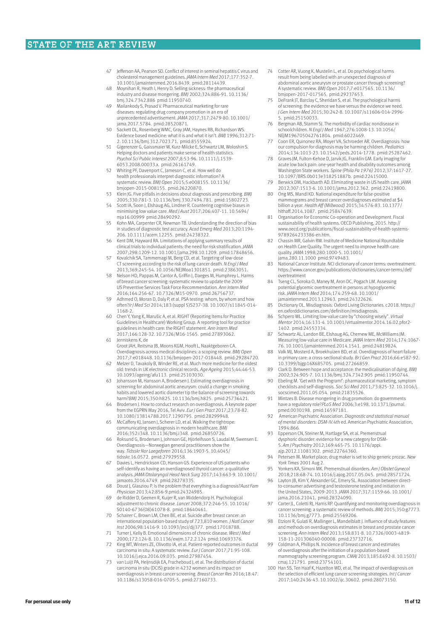- Jefferson AA, Pearson SD. Conflict of interest in seminal hepatitis C virus and cholesterol management guidelines. *JAMA Intern Med* 2017;177:352-7.
- 10.1001/jamainternmed.2016.8439. pmid:28114439. 48 Moynihan R, Heath I, Henry D. Selling sickness: the pharmaceutical industry and disease mongering. *BMJ* 2002;324:886-91. 10.1136/ bmj.324.7342.886 pmid:11950740.
- 49 Mailankody S, Prasad V. Pharmaceutical marketing for rare diseases: regulating drug company promotion in an era of unprecedented advertisement. *JAMA* 2017;317:2479-80. 10.1001/ jama.2017.5784. pmid:28520871.
- 50 Sackett DL, Rosenberg WMC, Gray JAM, Haynes RB, Richardson WS. Evidence based medicine: what it is and what it isn't. *BMJ* 1996;312:71- 2. 10.1136/bmj.312.7023.71. pmid:8555924.
- 51 Gigerenzer G, Gaissmaier W, Kurz-Milcke E, Schwartz LM, Woloshin S. Helping doctors and patients make sense of health statistics. *Psychol Sci Public Interest* 2007;8:53-96. 10.1111/j.1539- 6053.2008.00033.x. pmid:26161749.
- 52 Whiting PF, Davenport C, Jameson C, et al. How well do health professionals interpret diagnostic information? A systematic review. *BMJ Open* 2015;5:e008155. 10.1136/ bmjopen-2015-008155. pmid:26220870.
- 53 Klein JG. Five pitfalls in decisions about diagnosis and prescribing. *BMJ* 2005;330:781-3. 10.1136/bmj.330.7494.781. pmid:15802723.
- 54 Scott IA, Soon J, Elshaug AG, Lindner R. Countering cognitive biases in minimising low value care. *Med J Aust* 2017;206:407-11. 10.5694/ mja16.00999 pmid:28490292.
- 55 Kohn MA, Carpenter CR, Newman TB. Understanding the direction of bias in studies of diagnostic test accuracy. *Acad Emerg Med* 2013;20:1194- 206. 10.1111/acem.12255. pmid:24238322.
- 56 Kent DM, Hayward RA. Limitations of applying summary results of clinical trials to individual patients: the need for risk stratification. *JAMA* 2007;298:1209-12. 10.1001/jama.298.10.1209. pmid:17848656.
- Kovalchik SA, Tammemagi M, Berg CD, et al. Targeting of low-dose CT screening according to the risk of lung-cancer death. *N Engl J Med* 2013;369:245-54. 10.1056/NEJMoa1301851. pmid:23863051.
- 58 Nelson HD, Pappas M, Cantor A, Griffin J, Daeges M, Humphrey L. Harms of breast cancer screening: systematic review to update the 2009 US Preventive Services Task Force Recommendation. *Ann Intern Med* 2016;164:256-67. 10.7326/M15-0970. pmid:26756737.
- 59 Adhmed O, Moran D, Daly P, et al. PSA testing: whom, by whom and how often?*Ir J Med Sci* 2014;183:(suppl 5)S237-38. 10.1007/s11845-014- 1168-2.
- 60 Chen Y, Yang K, Marušic A, et al. RIGHT (Reporting Items for Practice Guidelines in Healthcare) Working Group. A reporting tool for practice guidelines in health care: the RIGHT statement. *Ann Intern Med* 2017;166:128-32. 10.7326/M16-1565. pmid:27893062. 61 Jenniskens K, de
- Groot JAH, Reitsma JB, Moons KGM, Hooft L, Naaktgeboren CA. Overdiagnosis across medical disciplines: a scoping review. *BMJ Open* 2017;7:e018448. 10.1136/bmjopen-2017-018448. pmid:29284720.
- 62 Melzer D, Tavakoly B, Winder RE, et al. Much more medicine for the oldest old: trends in UK electronic clinical records. *Age Ageing* 2015;44:46-53. 10.1093/ageing/afu113. pmid:25103030.
- 63 Johansson M, Hansson A, Brodersen J. Estimating overdiagnosis in screening for abdominal aortic aneurysm: could a change in smoking habits and lowered aortic diameter tip the balance of screening towards harm?*BMJ* 2015;350:h825. 10.1136/bmj.h825. pmid:25736421.
- 64 Brodersen J. How to conduct research on overdiagnosis. A keynote paper from the EGPRN May 2016, Tel Aviv. *Eur J Gen Pract* 2017;23:78-82. 10.1080/13814788.2017.1290795. pmid:28299948.
- 65 McCaffery KJ, Jansen J, Scherer LD, et al. Walking the tightrope: communicating overdiagnosis in modern healthcare. *BMJ* 2016;352:i348. 10.1136/bmj.i348. pmid:26850726.
- 66 Roksund G, Brodersen J, Johnson GE, Hjörleifsson S, Laudal M, Swensen E. Overdiagnosis—Norwegian general practitioners show the way. *Tidsskr Nor Laegeforen* 2016;136:1903-5. 10.4045/ tidsskr.16.0572. pmid:27929558.
- 67 Davies L, Hendrickson CD, Hanson GS. Experience of US patients who self-identify as having an overdiagnosed thyroid cancer: a qualitative analysis. *JAMA Otolaryngol Head Neck Surg* 2017;143:663-9. 10.1001/ jamaoto.2016.4749. pmid:28278335.
- 68 Doust J, Glasziou P. Is the problem that everything is a diagnosis?*Aust Fam Physician* 2013;42:856-9.pmid:24324985.
- 69 de Ridder D, Geenen R, Kuijer R, van Middendorp H. Psychological adjustment to chronic disease. *Lancet* 2008;372:246-55. 10.1016/ S0140-6736(08)61078-8. pmid:18640461.
- 70 Schairer C, Brown LM, Chen BE, et al. Suicide after breast cancer: an international population-based study of 723,810 women. *J Natl Cancer Inst* 2006;98:1416-9. 10.1093/jnci/djj377. pmid:17018788.
- 71 Turner J, Kelly B. Emotional dimensions of chronic disease. *West J Med* 2000;172:124-8. 10.1136/ewjm.172.2.124 pmid:10693376.
- 72 King MT, Winters ZE, Olivotto IA, et al. Patient-reported outcomes in ductal carcinoma in situ: A systematic review. *Eur J Cancer* 2017;71:95-108.
- 10.1016/j.ejca.2016.09.035. pmid:27987454. 73 van Luijt PA, Heijnsdijk EA, Fracheboud J, et al. The distribution of ductal carcinoma in situ (DCIS) grade in 4232 women and its impact on overdiagnosis in breast cancer screening. *Breast Cancer Res* 2016;18:47. 10.1186/s13058-016-0705-5. pmid:27160733.
- Cotter AR, Vuong K, Mustelin L, et al. Do psychological harms result from being labelled with an unexpected diagnosis of abdominal aortic aneurysm or prostate cancer through screening? A systematic review. *BMJ Open* 2017;7:e017565. 10.1136/ bmjopen-2017-017565. pmid:29237653.
- DeFrank JT, Barclay C, Sheridan S, et al. The psychological harms of screening: the evidence we have versus the evidence we need. *J Gen Intern Med* 2015;30:242-8. 10.1007/s11606-014-2996- 5. pmid:25150033.
- 76 Bergman AB, Stamm SJ. The morbidity of cardiac nondisease in schoolchildren. *N Engl J Med* 1967;276:1008-13. 10.1056/ NEJM196705042761804. pmid:6022469.
- 77 Coon ER, Quinonez RA, Moyer VA, Schroeder AR. Overdiagnosis: how our compulsion for diagnosis may be harming children. *Pediatrics* 2014;134:1013-23. 10.1542/peds.2014-1778. pmid:25287462.
- 78 Graves JM, Fulton-Kehoe D, Jarvik JG, Franklin GM. Early imaging for acute low back pain: one-year health and disability outcomes among Washington State workers. *Spine (Phila Pa 1976)* 2012;37:1617-27. 10.1097/BRS.0b013e318251887b. pmid:22415000.
- 79 Berwick DM, Hackbarth AD. Eliminating waste in US health care. *JAMA* 2012;307:1513-6. 10.1001/jama.2012.362. pmid:22419800.
- 80 Ong MS, Mandl KD. National expenditure for false-positive mammograms and breast cancer overdiagnoses estimated at \$4 billion a year. *Health Aff (Millwood)* 2015;34:576-83. 10.1377/ hlthaff.2014.1087. pmid:25847639.
- 81 Organisation for Economic Co-operation and Development. Fiscal sustainability of health systems. OECD Publishing, 2015. http:// www.oecd.org/publications/fiscal-sustainability-of-health-systems-9789264233386-en.htm.
- 82 Chassin MR, Galvin RW. Institute of Medicine National Roundtable on Health Care Quality. The urgent need to improve health care quality. *JAMA* 1998;280:1000-5. 10.1001/ jama.280.11.1000 pmid:9749483.
- 83 National Cancer Institute. NCI dictionary of cancer terms: overtreatment. https://www.cancer.gov/publications/dictionaries/cancer-terms/def/ overtreatment
- 84 Tseng CL, Soroka O, Maney M, Aron DC, Pogach LM. Assessing potential glycemic overtreatment in persons at hypoglycemic risk. *JAMA Intern Med* 2014;174:259-68. 10.1001/ jamainternmed.2013.12963. pmid:24322626.
- 85 Dictionary OL. Misdiagnosis: Oxford Living Dictionaries. c2018. https:// en.oxforddictionaries.com/definition/misdiagnosis.
- 86 Schpero WL. Limiting low-value care by "choosing wisely". *Virtual Mentor* 2014;16:131-4. 10.1001/virtualmentor.2014.16.02.pfor2- 1402. pmid:24553334.
- 87 Schwartz AL, Landon BE, Elshaug AG, Chernew ME, McWilliams JM. Measuring low-value care in Medicare. *JAMA Intern Med* 2014;174:1067-
- 76. 10.1001/jamainternmed.2014.1541. pmid:24819824. 88 Valk MJ, Mosterd A, Broekhuizen BD, et al. Overdiagnosis of heart failure in primary care: a cross-sectional study. *Br J Gen Pract* 2016;66:e587-92. 10.3399/bjgp16X685705. pmid:27266859.
- 89 Clark D. Between hope and acceptance: the medicalisation of dying. *BMJ* 2002;324:905-7. 10.1136/bmj.324.7342.905 pmid:11950744. 90 Ebeling M. 'Get with the Program!': pharmaceutical marketing, symptom
- checklists and self-diagnosis. *Soc Sci Med* 2011;73:825-32. 10.1016/j. socscimed.2011.05.054. pmid:21835526.
- 91 Mintzes B. Disease mongering in drug promotion: do governments have a regulatory role?*PLoS Med* 2006;3:e198. 10.1371/journal. pmed.0030198. pmid:16597181.
- 92 American Psychiatric Association. *Diagnostic and statistical manual of mental disorders: DSM-IV.*4th ed. American Psychiatric Association, 1994:866.
- 93 Epperson CN, Steiner M, Hartlage SA, et al. Premenstrual dysphoric disorder: evidence for a new category for DSM-5. *Am J Psychiatry* 2012;169:465-75. 10.1176/appi.
- ajp.2012.11081302. pmid:22764360. 94 Petersen M. Market place; drug maker is set to ship generic prozac. *New York Times* 2001 Aug 2.
- 95 Yonkers KA, Simoni MK. Premenstrual disorders. *Am J Obstet Gynecol* 2018;218:68-74. 10.1016/j.ajog.2017.05.045. pmid:28571724.
- 96 Layton JB, Kim Y, Alexander GC, Emery SL. Association between direct-to-consumer advertising and testosterone testing and initiation in the United States, 2009-2013. *JAMA* 2017;317:1159-66. 10.1001/ jama.2016.21041. pmid:28324090.
- 97 Carter JL, Coletti RJ, Harris RP. Quantifying and monitoring overdiagnosis in cancer screening: a systematic review of methods. *BMJ* 2015;350:g7773. 10.1136/bmj.g7773. pmid:25569206.
- 98 Etzioni R, Gulati R, Mallinger L, Mandelblatt J. Influence of study features and methods on overdiagnosis estimates in breast and prostate cancer screening. *Ann Intern Med* 2013;158:831-8. 10.7326/0003-4819- 158-11-201306040-00008. pmid:23732716.
- 99 Coldman A, Phillips N. Incidence of breast cancer and estimates of overdiagnosis after the initiation of a population-based mammography screening program. *CMAJ* 2013;185:E492-8. 10.1503/ cmaj.121791. pmid:23754101.
- 100 Han SS, Ten Haaf K, Hazelton WD, et al. The impact of overdiagnosis on the selection of efficient lung cancer screening strategies. *Int J Cancer* 2017;140:2436-43. 10.1002/ijc.30602. pmid:28073150.